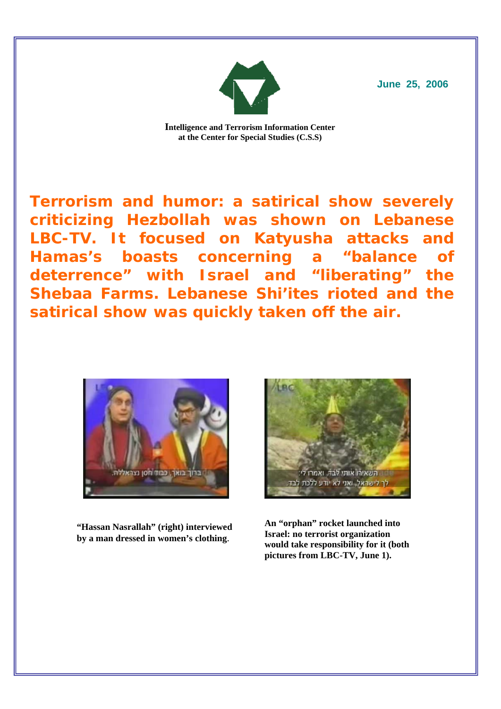

**June 25, 2006**

**Intelligence and Terrorism Information Center at the Center for Special Studies (C.S.S)** 

**Terrorism and humor: a satirical show severely criticizing Hezbollah was shown on Lebanese LBC-TV. It focused on Katyusha attacks and Hamas's boasts concerning a "balance of deterrence" with Israel and "liberating" the Shebaa Farms. Lebanese Shi'ites rioted and the satirical show was quickly taken off the air.**



**"Hassan Nasrallah" (right) interviewed by a man dressed in women's clothing**.



**An "orphan" rocket launched into Israel: no terrorist organization would take responsibility for it (both pictures from LBC-TV, June 1).**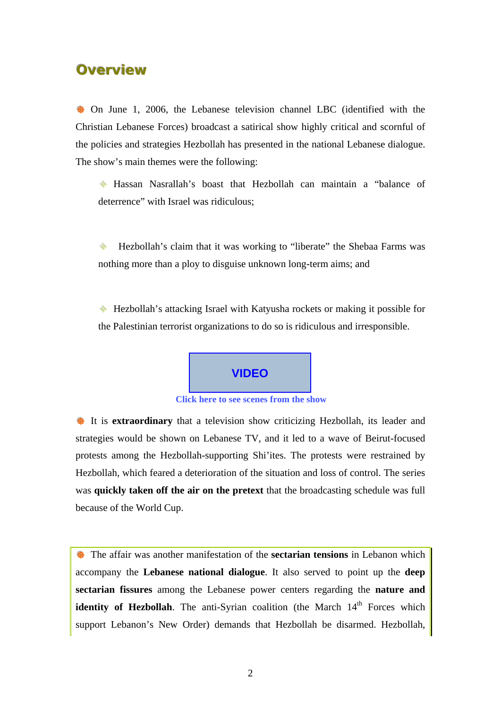## **Overview**

 $\bullet$  On June 1, 2006, the Lebanese television channel LBC (identified with the Christian Lebanese Forces) broadcast a satirical show highly critical and scornful of the policies and strategies Hezbollah has presented in the national Lebanese dialogue. The show's main themes were the following:

 Hassan Nasrallah's boast that Hezbollah can maintain a "balance of deterrence" with Israel was ridiculous;

♦ Hezbollah's claim that it was working to "liberate" the Shebaa Farms was nothing more than a ploy to disguise unknown long-term aims; and

 Hezbollah's attacking Israel with Katyusha rockets or making it possible for the Palestinian terrorist organizations to do so is ridiculous and irresponsible.



**[Click here to see scenes from the show](http://www.terrorism-info.org.il/malam_multimedia/Hebrew/heb_n/video/bas_mat_watan_e.wmv)**

**B** It is **extraordinary** that a television show criticizing Hezbollah, its leader and strategies would be shown on Lebanese TV, and it led to a wave of Beirut-focused protests among the Hezbollah-supporting Shi'ites. The protests were restrained by Hezbollah, which feared a deterioration of the situation and loss of control. The series was **quickly taken off the air on the pretext** that the broadcasting schedule was full because of the World Cup.

 $\bullet$  The affair was another manifestation of the **sectarian tensions** in Lebanon which accompany the **Lebanese national dialogue**. It also served to point up the **deep sectarian fissures** among the Lebanese power centers regarding the **nature and identity of Hezbollah**. The anti-Syrian coalition (the March 14<sup>th</sup> Forces which support Lebanon's New Order) demands that Hezbollah be disarmed. Hezbollah,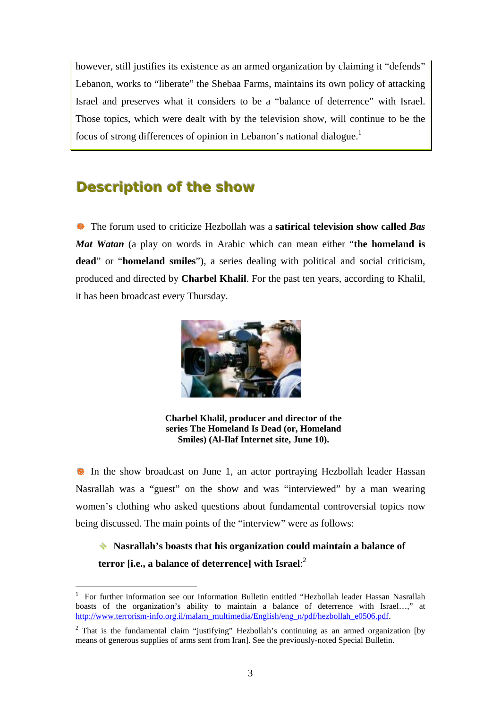however, still justifies its existence as an armed organization by claiming it "defends" Lebanon, works to "liberate" the Shebaa Farms, maintains its own policy of attacking Israel and preserves what it considers to be a "balance of deterrence" with Israel. Those topics, which were dealt with by the television show, will continue to be the focus of strong differences of opinion in Lebanon's national dialogue.1

## **Description of the show**

**EXECUTE:** The forum used to criticize Hezbollah was a **satirical television show called** *Bas Mat Watan* (a play on words in Arabic which can mean either "**the homeland is dead**" or "**homeland smiles**"), a series dealing with political and social criticism, produced and directed by **Charbel Khalil**. For the past ten years, according to Khalil, it has been broadcast every Thursday.



**Charbel Khalil, producer and director of the series The Homeland Is Dead (or, Homeland Smiles) (Al-Ilaf Internet site, June 10).** 

**B** In the show broadcast on June 1, an actor portraying Hezbollah leader Hassan Nasrallah was a "guest" on the show and was "interviewed" by a man wearing women's clothing who asked questions about fundamental controversial topics now being discussed. The main points of the "interview" were as follows:

 **Nasrallah's boasts that his organization could maintain a balance of terror [i.e., a balance of deterrence] with Israel**: 2

 $\mathbf{1}$ 1 For further information see our Information Bulletin entitled "Hezbollah leader Hassan Nasrallah boasts of the organization's ability to maintain a balance of deterrence with Israel…," at [http://www.terrorism-info.org.il/malam\\_multimedia/English/eng\\_n/pdf/hezbollah\\_e0506.pdf.](http://www.terrorism-info.org.il/malam_multimedia/English/eng_n/pdf/hezbollah_e0506.pdf) 

<sup>&</sup>lt;sup>2</sup> That is the fundamental claim "justifying" Hezbollah's continuing as an armed organization [by means of generous supplies of arms sent from Iran]. See the previously-noted Special Bulletin.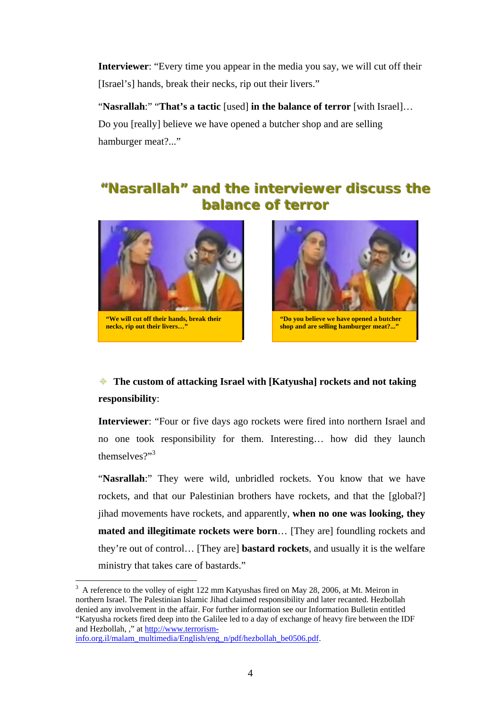**Interviewer**: "Every time you appear in the media you say, we will cut off their [Israel's] hands, break their necks, rip out their livers."

"**Nasrallah**:" "**That's a tactic** [used] **in the balance of terror** [with Israel]… Do you [really] believe we have opened a butcher shop and are selling hamburger meat?..."

# "Nasrallah" and the interviewer discuss the **balance** of terror



**"We will cut off their hands, break their necks, rip out their livers…"** 



**"Do you believe we have opened a butcher shop and are selling hamburger meat?..."**

## **The custom of attacking Israel with [Katyusha] rockets and not taking responsibility**:

**Interviewer**: "Four or five days ago rockets were fired into northern Israel and no one took responsibility for them. Interesting… how did they launch themselves?"<sup>3</sup>

"Nasrallah:" They were wild, unbridled rockets. You know that we have rockets, and that our Palestinian brothers have rockets, and that the [global?] jihad movements have rockets, and apparently, **when no one was looking, they mated and illegitimate rockets were born**… [They are] foundling rockets and they're out of control… [They are] **bastard rockets**, and usually it is the welfare ministry that takes care of bastards."

 $\overline{a}$ 

 $3\text{ A}$  reference to the volley of eight 122 mm Katyushas fired on May 28, 2006, at Mt. Meiron in northern Israel. The Palestinian Islamic Jihad claimed responsibility and later recanted. Hezbollah denied any involvement in the affair. For further information see our Information Bulletin entitled "Katyusha rockets fired deep into the Galilee led to a day of exchange of heavy fire between the IDF and Hezbollah, ," a[t http://www.terrorism-](http://www.terrorism-info.org.il/malam_multimedia/English/eng_n/pdf/hezbollah_e0506.pdf)

[info.org.il/malam\\_multimedia/English/eng\\_n/pdf/hezbollah\\_be0506.pdf.](http://www.terrorism-info.org.il/malam_multimedia/English/eng_n/pdf/hezbollah_e0506.pdf)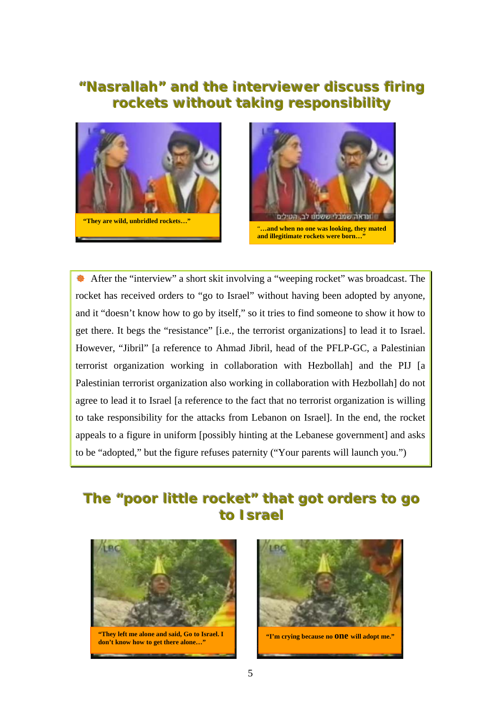# **"Nasrallah" and the interviewer discuss firing rockets without taking responsibility**





**Example 2** After the "interview" a short skit involving a "weeping rocket" was broadcast. The rocket has received orders to "go to Israel" without having been adopted by anyone, and it "doesn't know how to go by itself," so it tries to find someone to show it how to get there. It begs the "resistance" [i.e., the terrorist organizations] to lead it to Israel. However, "Jibril" [a reference to Ahmad Jibril, head of the PFLP-GC, a Palestinian terrorist organization working in collaboration with Hezbollah] and the PIJ [a Palestinian terrorist organization also working in collaboration with Hezbollah] do not agree to lead it to Israel [a reference to the fact that no terrorist organization is willing to take responsibility for the attacks from Lebanon on Israel]. In the end, the rocket appeals to a figure in uniform [possibly hinting at the Lebanese government] and asks to be "adopted," but the figure refuses paternity ("Your parents will launch you.")

# **The "poor little rocket" that got orders to go** to **Israel**



**"They left me alone and said, Go to Israel. I don't know how to get there alone..." and in the set of the set of the set of the set of the set of the set of the set of the set of the set of the set of the set of the set of the set of the set of the set of the set o** 

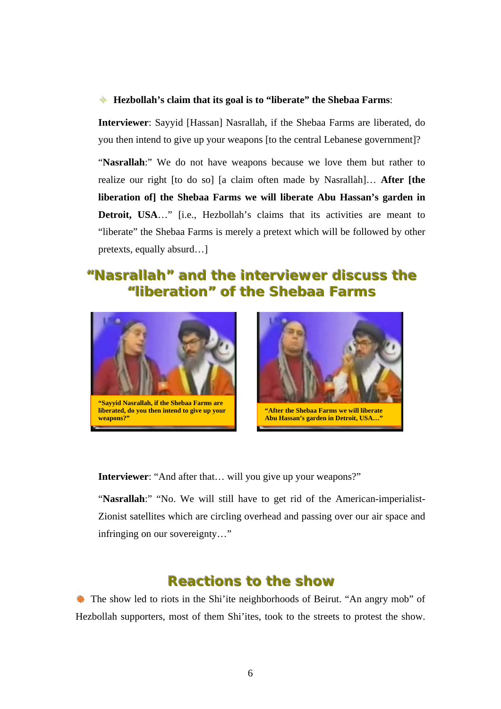#### **Hezbollah's claim that its goal is to "liberate" the Shebaa Farms**:

**Interviewer**: Sayyid [Hassan] Nasrallah, if the Shebaa Farms are liberated, do you then intend to give up your weapons [to the central Lebanese government]?

"**Nasrallah**:" We do not have weapons because we love them but rather to realize our right [to do so] [a claim often made by Nasrallah]… **After [the liberation of] the Shebaa Farms we will liberate Abu Hassan's garden in Detroit, USA**…" [i.e., Hezbollah's claims that its activities are meant to "liberate" the Shebaa Farms is merely a pretext which will be followed by other pretexts, equally absurd…]

## **"Nasrallah"** and the interviewer discuss the **"liberation" of the Shebaa Farms**



**liberated, do you then intend to give up your weapons?"**



**Interviewer**: "And after that… will you give up your weapons?"

"Nasrallah:" "No. We will still have to get rid of the American-imperialist-Zionist satellites which are circling overhead and passing over our air space and infringing on our sovereignty…"

## **Reactions to the show**

 $\bullet$  The show led to riots in the Shi'ite neighborhoods of Beirut. "An angry mob" of Hezbollah supporters, most of them Shi'ites, took to the streets to protest the show.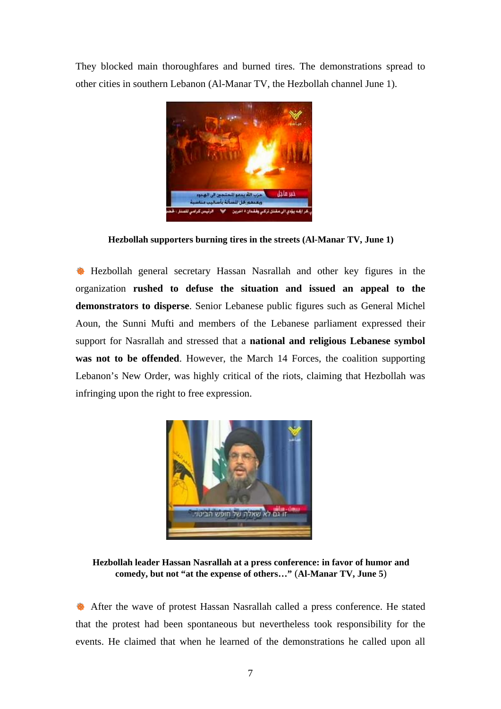They blocked main thoroughfares and burned tires. The demonstrations spread to other cities in southern Lebanon (Al-Manar TV, the Hezbollah channel June 1).



**Hezbollah supporters burning tires in the streets (Al-Manar TV, June 1)** 

**B** Hezbollah general secretary Hassan Nasrallah and other key figures in the organization **rushed to defuse the situation and issued an appeal to the demonstrators to disperse**. Senior Lebanese public figures such as General Michel Aoun, the Sunni Mufti and members of the Lebanese parliament expressed their support for Nasrallah and stressed that a **national and religious Lebanese symbol was not to be offended**. However, the March 14 Forces, the coalition supporting Lebanon's New Order, was highly critical of the riots, claiming that Hezbollah was infringing upon the right to free expression.



**Hezbollah leader Hassan Nasrallah at a press conference: in favor of humor and comedy, but not "at the expense of others…"** (**Al-Manar TV, June 5**)

 $\bullet$  After the wave of protest Hassan Nasrallah called a press conference. He stated that the protest had been spontaneous but nevertheless took responsibility for the events. He claimed that when he learned of the demonstrations he called upon all